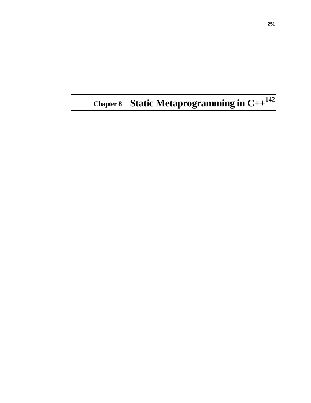## **Chapter 8 Static Metaprogramming in C++<sup>142</sup>**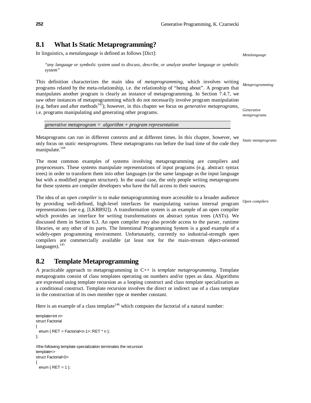## **8.1 What Is Static Metaprogramming?**

In linguistics, a *metalanguage* is defined as follows [Dict]:

*"any language or symbolic system used to discuss, describe, or analyze another language or symbolic system"*

This definition characterizes the main idea of *metaprogramming*, which involves writing programs related by the meta-relationship, i.e. the relationship of "being about". A program that manipulates another program is clearly an instance of metaprogramming. In Section 7.4.7, we saw other instances of metaprogramming which do not necessarily involve program manipulation (e.g. before and after methods <sup>143</sup>); however, in this chapter we focus on *generative metaprograms*, i.e. programs manipulating and generating other programs.

*generative metaprogram = algorithm + program representation*

Metaprograms can run in different contexts and at different times. In this chapter, however, we only focus on *static metaprograms*. These metaprograms run before the load time of the code they manipulate.<sup>144</sup>

The most common examples of systems involving metaprogramming are compilers and preprocessors. These systems manipulate representations of input programs (e.g. abstract syntax trees) in order to transform them into other languages (or the same language as the input language but with a modified program structure). In the usual case, the only people writing metaprograms for these systems are compiler developers who have the full access to their sources.

The idea of an *open compiler* is to make metaprogramming more accessible to a broader audience by providing well-defined, high-level interfaces for manipulating various internal program representations (see e.g. [LKRR92]). A transformation system is an example of an open compiler which provides an interface for writing transformations on abstract syntax trees (ASTs). We discussed them in Section 6.3. An open compiler may also provide access to the parser, runtime libraries, or any other of its parts. The Intentional Programming System is a good example of a widely-open programming environment. Unfortunately, currently no industrial-strength open compilers are commercially available (at least not for the main-stream object-oriented languages).<sup>145</sup>

## **8.2 Template Metaprogramming**

A practicable approach to metaprogramming in C++ is *template metaprogramming*. Template metaprograms consist of class templates operating on numbers and/or types as data. Algorithms are expressed using template recursion as a looping construct and class template specialization as a conditional construct. Template recursion involves the direct or indirect use of a class template in the construction of its own member type or member constant.

Here is an example of a class template<sup>146</sup> which computes the factorial of a natural number:

```
template<int n>
struct Factorial
{
 enum { RET = Factorial < n-1 >::RET * n };
};
//the following template specialization terminates the recursion
template<>
struct Factorial<0>
{
 enum \{ RET = 1 \};
```
*Metalanguage*

*Metaprogramming*

*Generative metaprograms*

*Static metaprograms*

*Open compilers*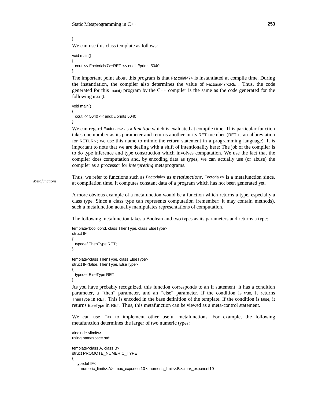};

We can use this class template as follows:

void main()

{ cout << Factorial<7>::RET << endl; //prints 5040 }

The important point about this program is that Factorial<7> is instantiated at compile time. During the instantiation, the compiler also determines the value of Factorial<7>::RET. Thus, the code generated for this main() program by the C++ compiler is the same as the code generated for the following main():

void main() { cout << 5040 << endl; //prints 5040 }

We can regard Factorial  $\leq$  as a *function* which is evaluated at compile time. This particular function takes one number as its parameter and returns another in its RET member (RET is an abbreviation for RETURN; we use this name to mimic the return statement in a programming language). It is important to note that we are dealing with a shift of intentionality here: The job of the compiler is to do type inference and type construction which involves computation. We use the fact that the compiler does computation and, by encoding data as types, we can actually use (or abuse) the compiler as a processor for *interpreting* metaprograms.

Thus, we refer to functions such as Factorial<> as *metafunctions*. Factorial<> is a metafunction since, at compilation time, it computes constant data of a program which has not been generated yet. *Metafunctions*

> A more obvious example of a metafunction would be a function which returns a type, especially a class type. Since a class type can represents computation (remember: it may contain methods), such a metafunction actually manipulates representations of computation.

The following metafunction takes a Boolean and two types as its parameters and returns a type:

```
template<bool cond, class ThenType, class ElseType>
struct IF
{
 typedef ThenType RET;
}
template<class ThenType, class ElseType>
struct IF<false, ThenType, ElseType>
{
 typedef ElseType RET;
};
```
As you have probably recognized, this function corresponds to an if statement: it has a condition parameter, a "then" parameter, and an "else" parameter. If the condition is true, it returns ThenType in RET. This is encoded in the base definition of the template. If the condition is false, it returns ElseType in RET. Thus, this metafunction can be viewed as a meta-control statement.

We can use IF $\lt\gt$  to implement other useful metafunctions. For example, the following metafunction determines the larger of two numeric types:

```
#include <limits>
using namespace std;
template<class A, class B>
struct PROMOTE_NUMERIC_TYPE
{
   typedef IF<
     numeric_limits<A>::max_exponent10 < numeric_limits<B>::max_exponent10
```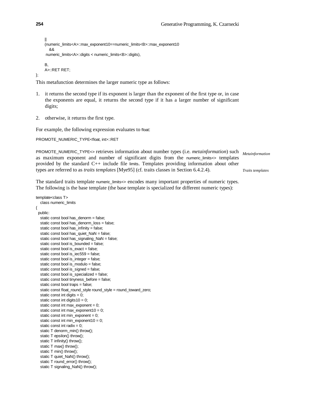```
 ||
 (numeric_limits<A>::max_exponent10==numeric_limits<B>::max_exponent10
   &&
 numeric_limits<A>::digits < numeric_limits<B>::digits),
 B,
```
A>::RET RET;

};

This metafunction determines the larger numeric type as follows:

- 1. it returns the second type if its exponent is larger than the exponent of the first type or, in case the exponents are equal, it returns the second type if it has a larger number of significant digits;
- 2. otherwise, it returns the first type.

For example, the following expression evaluates to float:

```
PROMOTE_NUMERIC_TYPE<float, int>::RET
```
PROMOTE\_NUMERIC\_TYPE<> retrieves information about number types (i.e. *metainformation*) such as maximum exponent and number of significant digits from the numeric\_limits<> templates provided by the standard C++ include file limits. Templates providing information about other types are referred to as *traits templates* [Mye95] (cf. traits classes in Section 6.4.2.4). *Traits templates Metainformation*

The standard traits template numeric\_limits<> encodes many important properties of numeric types. The following is the base template (the base template is specialized for different numeric types):

```
template<class T>
   class numeric_limits
{
  public:
   static const bool has_denorm = false;
  static const bool has denorm loss = false;
   static const bool has_infinity = false;
   static const bool has_quiet_NaN = false;
   static const bool has_signaling_NaN = false;
   static const bool is_bounded = false;
   static const bool is_exact = false;
   static const bool is_iec559 = false;
   static const bool is_integer = false;
   static const bool is_modulo = false;
   static const bool is_signed = false;
   static const bool is_specialized = false;
  static const bool tinyness before = false;
   static const bool traps = false;
   static const float_round_style round_style = round_toward_zero;
  static const int digits = 0;
  static const int digits 10 = 0;
   static const int max_exponent = 0;
  static const int max_exponent10 = 0;
  static const int min_exponent = 0;
  static const int min_exponent10 = 0;
  static const int radix = 0;
   static T denorm_min() throw();
   static T epsilon() throw();
   static T infinity() throw();
   static T max() throw();
   static T min() throw();
   static T quiet_NaN() throw();
   static T round_error() throw();
   static T signaling_NaN() throw();
```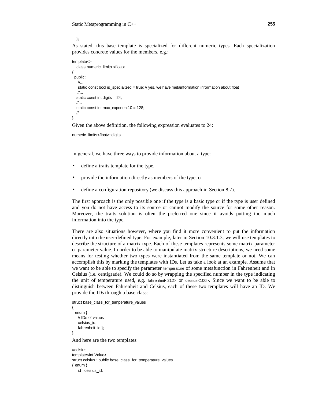};

As stated, this base template is specialized for different numeric types. Each specialization provides concrete values for the members, e.g.:

#### template<>

```
 class numeric_limits <float>
{
  public:
   //...
   static const bool is_specialized = true; // yes, we have metainformation information about float
    //...
   static const int digits = 24;
   //...
  static const int max exponent10 = 128;
   //...
};
```
Given the above definition, the following expression evaluates to 24:

numeric\_limits<float>::digits

In general, we have three ways to provide information about a type:

- define a traits template for the type,
- provide the information directly as members of the type, or
- define a configuration repository (we discuss this approach in Section 8.7).

The first approach is the only possible one if the type is a basic type or if the type is user defined and you do not have access to its source or cannot modify the source for some other reason. Moreover, the traits solution is often the preferred one since it avoids putting too much information into the type.

There are also situations however, where you find it more convenient to put the information directly into the user-defined type. For example, later in Section 10.3.1.3, we will use templates to describe the structure of a matrix type. Each of these templates represents some matrix parameter or parameter value. In order to be able to manipulate matrix structure descriptions, we need some means for testing whether two types were instantiated from the same template or not. We can accomplish this by marking the templates with IDs. Let us take a look at an example. Assume that we want to be able to specify the parameter temperature of some metafunction in Fahrenheit and in Celsius (i.e. centigrade). We could do so by wrapping the specified number in the type indicating the unit of temperature used, e.g. fahrenheit<212> or celsius<100>. Since we want to be able to distinguish between Fahrenheit and Celsius, each of these two templates will have an ID. We provide the IDs through a base class:

```
struct base_class_for_temperature_values
{
 enum {
   // IDs of values
   celsius_id,
   fahrenheit_id };
};
And here are the two templates:
//celsius
```

```
template<int Value>
struct celsius : public base_class_for_temperature_values
{ enum {
   id= celsius id.
```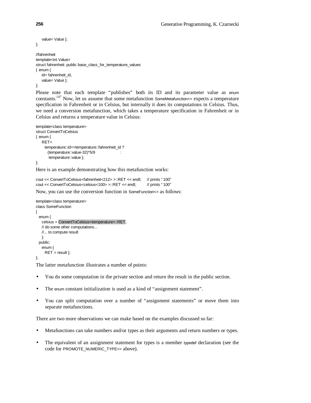```
value= Value };
};
//fahrenheit
template<int Value>
struct fahrenheit: public base_class_for_temperature_values
{ enum {
   id= fahrenheit_id,
   value= Value };
};
```
Please note that each template "publishes" both its ID and its parameter value as enum constants.<sup>147</sup> Now, let us assume that some metafunction SomeMetafunction<> expects a temperature specification in Fahrenheit or in Celsius, but internally it does its computations in Celsius. Thus, we need a conversion metafunction, which takes a temperature specification in Fahrenheit or in Celsius and returns a temperature value in Celsius:

```
template<class temperature>
struct ConvertToCelsius
{ enum {
   RET=
    temperature::id==temperature::fahrenheit_id ?
      (temperature::value-32)*5/9 :
      temperature::value };
};
```
Here is an example demonstrating how this metafunction works:

```
cout << ConvertToCelsius<fahrenheit<212> >::RET << endl; // prints " 100"
cout << ConvertToCelsius<celsius<100> >::RET << endl; // prints " 100"
```
Now, you can use the conversion function in SomeFunction<> as follows:

```
template<class temperature>
class SomeFunction
{
 enum {
   celsius = ConvertToCelsius<temperature>::RET,
   // do some other computations...
   //... to compute result
   };
 public:
   enum {
     REF = result };
};
```
The latter metafunction illustrates a number of points:

- You do some computation in the private section and return the result in the public section.
- The enum constant initialization is used as a kind of "assignment statement".
- You can split computation over a number of "assignment statements" or move them into separate metafunctions.

There are two more observations we can make based on the examples discussed so far:

- Metafunctions can take numbers and/or types as their arguments and return numbers or types.
- The equivalent of an assignment statement for types is a member typedef declaration (see the code for PROMOTE\_NUMERIC\_TYPE<> above).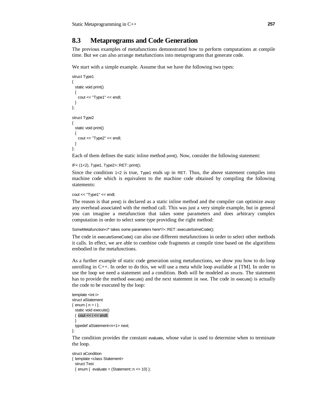## **8.3 Metaprograms and Code Generation**

The previous examples of metafunctions demonstrated how to perform computations at compile time. But we can also arrange metafunctions into metaprograms that generate code.

We start with a simple example. Assume that we have the following two types:

```
struct Type1
{
 static void print()
 {
   cout << "Type1" << endl;
 }
};
struct Type2
{
 static void print()
 {
   cout << "Type2" << endl;
 }
};
```
Each of them defines the static inline method print(). Now, consider the following statement:

#### IF< (1<2), Type1, Type2>::RET::print();

Since the condition  $1\leq 2$  is true, Type1 ends up in RET. Thus, the above statement compiles into machine code which is equivalent to the machine code obtained by compiling the following statements:

#### cout << "Type1" << endl;

The reason is that print() is declared as a static inline method and the compiler can optimize away any overhead associated with the method call. This was just a very simple example, but in general you can imagine a metafunction that takes some parameters and does arbitrary complex computation in order to select some type providing the right method:

SomeMetafunction</\* takes some parameters here\*/>::RET::executeSomeCode();

The code in executeSomeCode() can also use different metafunctions in order to select other methods it calls. In effect, we are able to combine code fragments at compile time based on the algorithms embodied in the metafunctions.

As a further example of static code generation using metafunctions, we show you how to do loop unrolling in C++. In order to do this, we will use a meta while loop available at [TM]. In order to use the loop we need a statement and a condition. Both will be modeled as structs. The statement has to provide the method execute() and the next statement in next. The code in execute() is actually the code to be executed by the loop:

```
template <int i>
struct aStatement
{ enum { n = i };
  static void execute()
  \{ cout << i << endl;
 }
 typedef aStatement<n+1> next;
};
```
The condition provides the constant evaluate, whose value is used to determine when to terminate the loop.

```
struct aCondition
{ template <class Statement>
 struct Test
 { enum { evaluate = (Statement::n <= 10) };
```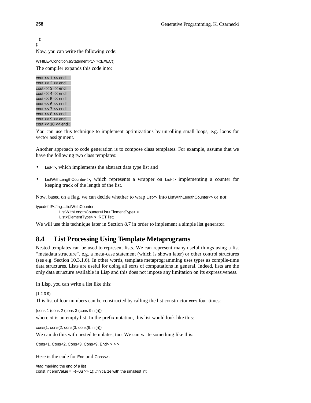```
};
};
Now, you can write the following code:
```
WHILE<Condition,aStatement<1> >::EXEC(); The compiler expands this code into:

```
\text{cout} \ll 1 \ll \text{end}:
\text{cout} \ll 2 \ll \text{endl};
\cot \ll 3 \ll \text{end};
\cot \ll 4 \ll \text{endl};
cout << 5 << endl;
\cot \ll 6 \ll \text{end};
\text{cout} \ll 7 \ll \text{end};
\text{cout} \ll 8 \ll \text{end}\cot \ll 9 \ll \text{endl};
\text{cout} \ll 10 \ll \text{endl};
```
You can use this technique to implement optimizations by unrolling small loops, e.g. loops for vector assignment.

Another approach to code generation is to compose class templates. For example, assume that we have the following two class templates:

- List<>, which implements the abstract data type list and
- ListWithLengthCounter<>, which represents a wrapper on List<> implementing a counter for keeping track of the length of the list.

Now, based on a flag, we can decide whether to wrap List<> into ListWithLengthCounter<> or not:

```
typedef IF<flag==listWithCounter,
            ListWithLengthCounter<List<ElementType> >
            List<ElementType> >::RET list;
```
We will use this technique later in Section 8.7 in order to implement a simple list generator.

## **8.4 List Processing Using Template Metaprograms**

Nested templates can be used to represent lists. We can represent many useful things using a list "metadata structure", e.g. a meta-case statement (which is shown later) or other control structures (see e.g. Section 10.3.1.6). In other words, template metaprogramming uses types as compile-time data structures. Lists are useful for doing all sorts of computations in general. Indeed, lists are the only data structure available in Lisp and this does not impose any limitation on its expressiveness.

In Lisp, you can write a list like this:

(1 2 3 9)

This list of four numbers can be constructed by calling the list constructor cons four times:

(cons 1 (cons 2 (cons 3 (cons 9 nil))))

where nil is an empty list. In the prefix notation, this list would look like this:

cons(1, cons(2, cons(3, cons(9, nil))))

We can do this with nested templates, too. We can write something like this:

Cons<1, Cons<2, Cons<3, Cons<9, End> > > >

Here is the code for End and Cons<>:

//tag marking the end of a list const int endValue =  $\sim$ ( $\sim$ 0u >> 1); //initialize with the smallest int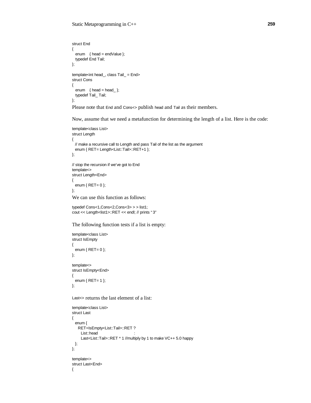```
struct End
{
  enum { head = endValue };
  typedef End Tail;
};
template<int head_, class Tail_ = End>
struct Cons
{
 enum { head = head_ ); typedef Tail_ Tail;
};
```
Please note that End and Cons<> publish head and Tail as their members.

Now, assume that we need a metafunction for determining the length of a list. Here is the code:

```
template<class List>
struct Length
{
 // make a recursive call to Length and pass Tail of the list as the argument
 enum { RET= Length<List::Tail>::RET+1 };
};
// stop the recursion if we've got to End
template<>
struct Length<End>
{
 enum { RET= 0 };
};
We can use this function as follows:
```

```
typedef Cons<1,Cons<2,Cons<3> > > list1;
cout << Length<list1>::RET << endl; // prints "3"
```
The following function tests if a list is empty:

```
template<class List>
struct IsEmpty
{
 enum { RET= 0 };
};
template<>
struct IsEmpty<End>
{
 enum { RET= 1 };
};
```
Last<> returns the last element of a list:

```
template<class List>
struct Last
{
 enum {
   RET=IsEmpty<List::Tail>::RET ?
    List::head
    Last<List::Tail>::RET * 1 //multiply by 1 to make VC++ 5.0 happy
 };
};
template<>
struct Last<End>
{
```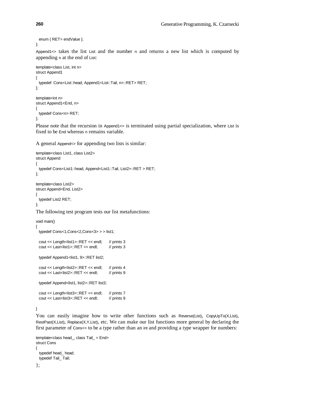```
enum { RET= endValue };
};
```
Append1<> takes the list List and the number n and returns a new list which is computed by appending n at the end of List:

```
template<class List, int n>
struct Append1
{
 typedef Cons<List::head, Append1<List::Tail, n>::RET> RET;
};
template<int n>
struct Append1<End, n>
```

```
{
 typedef Cons<n> RET;
```
};

Please note that the recursion in Append1  $\leq$  is terminated using partial specialization, where List is fixed to be End whereas n remains variable.

A general Append<> for appending two lists is similar:

```
template<class List1, class List2>
struct Append
{
 typedef Cons<List1::head, Append<List1::Tail, List2>::RET > RET;
};
template<class List2>
```

```
struct Append<End, List2>
{
```
typedef List2 RET;

};

{

The following test program tests our list metafunctions:

```
void main()
```

```
typedef Cons<1,Cons<2,Cons<3> > > list1;
```

```
cout << Length<list1>::RET << endl; // prints 3
cout << Last<list1>::RET << endl; // prints 3
typedef Append1<list1, 9>::RET list2;
cout << Length<list2>::RET << endl; // prints 4
cout << Last<list2>::RET << endl; // prints 9
typedef Append<list1, list2>::RET list3;
cout << Length<list3>::RET << endl; // prints 7
cout << Last<list3>::RET << endl; // prints 9
```
}

You can easily imagine how to write other functions such as Reverse(List), CopyUpTo(X,List), RestPast(X,List), Replace(X,Y,List), etc. We can make our list functions more general by declaring the first parameter of Cons<> to be a type rather than an int and providing a type wrapper for numbers:

```
template<class head_, class Tail_ = End>
struct Cons
{
  typedef head_ head;
  typedef Tail_ Tail;
};
```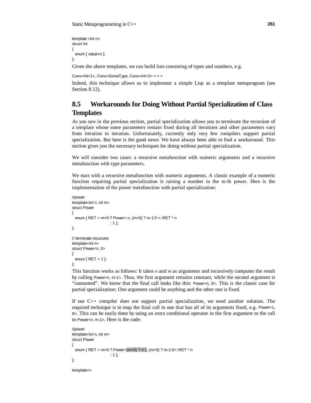```
template <int n>
struct Int
{
 enum { value=n };
};
```
Given the above templates, we can build lists consisting of types and numbers, e.g.

```
Cons<Int<1>, Cons<SomeType, Cons<Int<3> > > >
```
Indeed, this technique allows us to implement a simple Lisp as a template metaprogram (see Section 8.12).

## **8.5 Workarounds for Doing Without Partial Specialization of Class Templates**

As you saw in the previous section, partial specialization allows you to terminate the recursion of a template whose some parameters remain fixed during all iterations and other parameters vary from iteration to iteration. Unfortunately, currently only very few compilers support partial specialization. But here is the good news: We have always been able to find a workaround. This section gives you the necessary techniques for doing without partial specialization.

We will consider two cases: a recursive metafunction with numeric arguments and a recursive metafunction with type parameters.

We start with a recursive metafunction with numeric arguments. A classic example of a numeric function requiring partial specialization is raising a number to the m-th power. Here is the implementation of the power metafunction with partial specialization:

```
//power
template<int n, int m>
struct Power
{
 enum { RET = m>0 ? Power< n, (m>0) ? m-1:0 >::RET * n
                       : 1 };
};
// terminate recursion
template<int n>
struct Power<n, 0>
{
 enum \{ RET = 1 \};
};
```
This function works as follows: It takes n and m as arguments and recursively computes the result by calling Power<n, m-1>. Thus, the first argument remains constant, while the second argument is "consumed". We know that the final call looks like this: Power<n, 0>. This is the classic case for partial specialization: One argument could be anything and the other one is fixed.

If our C++ compiler does not support partial specialization, we need another solution. The required technique is to map the final call to one that has all of its arguments fixed, e.g. Power<1, 0>. This can be easily done by using an extra conditional operator in the first argument to the call to Power<n, m-1>. Here is the code:

```
//power
template<int n, int m>
struct Power
{
 enum { RET = m>0 ? Power<(m>0) ? n:1, (m>0) ? m-1:0>::RET * n
                     : 1 }:
};
```
template<>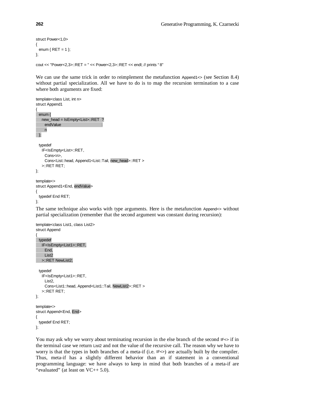```
struct Power<1,0>
{
 enum \{ RET = 1 \};
};
cout << "Power<2,3>::RET = " << Power<2,3>::RET << endl; // prints " 8"
```
We can use the same trick in order to reimplement the metafunction Append1< $\ge$  (see Section 8.4) without partial specialization. All we have to do is to map the recursion termination to a case where both arguments are fixed:

```
template<class List, int n>
struct Append1
{
 enum {
   new_head = IsEmpty<List>::RET ?
    endValue
    n
};
 typedef
   IF<IsEmpty<List>::RET,
    Cons<n>,
    Cons<List::head, Append1<List::Tail, new_head>::RET >
   >::RET RET;
};
template<>
struct Append1<End, endValue>
{
 typedef End RET;
```
};

The same technique also works with type arguments. Here is the metafunction Append<> without partial specialization (remember that the second argument was constant during recursion):

template<class List1, class List2> struct Append {

```
typedef
   IF<IsEmpty<List1>::RET,
    End,
    List2
  >::RET NewList2;
 typedef
   IF<IsEmpty<List1>::RET,
    List2,
    Cons<List1::head, Append<List1::Tail, NewList2>::RET >
   >::RET RET;
};
template<>
struct Append<End, End>
{
 typedef End RET;
```
};

You may ask why we worry about terminating recursion in the else branch of the second IF $\le$  if in the terminal case we return List2 and not the value of the recursive call. The reason why we have to worry is that the types in both branches of a meta-if (i.e.  $IF \gg$ ) are actually built by the compiler. Thus, meta-if has a slightly different behavior than an if statement in a conventional programming language: we have always to keep in mind that both branches of a meta-if are "evaluated" (at least on  $VC++ 5.0$ ).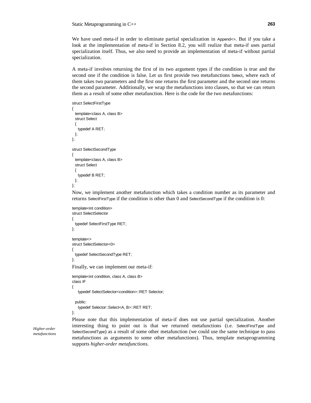We have used meta-if in order to eliminate partial specialization in Append<>. But if you take a look at the implementation of meta-if in Section 8.2, you will realize that meta-if uses partial specialization itself. Thus, we also need to provide an implementation of meta-if without partial specialization.

A meta-if involves returning the first of its two argument types if the condition is true and the second one if the condition is false. Let us first provide two metafunctions Select, where each of them takes two parameters and the first one returns the first parameter and the second one returns the second parameter. Additionally, we wrap the metafunctions into classes, so that we can return them as a result of some other metafunction. Here is the code for the two metafunctions:

```
struct SelectFirstType
{
 template<class A, class B>
 struct Select
 {
   typedef A RET;
 };
};
struct SelectSecondType
{
 template<class A, class B>
 struct Select
 {
   typedef B RET;
 };
};
```
Now, we implement another metafunction which takes a condition number as its parameter and returns SelectFirstType if the condition is other than 0 and SelectSecondType if the condition is 0:

```
template<int condition>
struct SelectSelector
{
 typedef SelectFirstType RET;
};
template<>
struct SelectSelector<0>
{
 typedef SelectSecondType RET;
};
Finally, we can implement our meta-if:
template<int condition, class A, class B>
class IF
{
   typedef SelectSelector<condition>::RET Selector;
 public:
   typedef Selector::Select<A, B>::RET RET;
};
```
*Higher-order metafunctions* Please note that this implementation of meta-if does not use partial specialization. Another interesting thing to point out is that we returned metafunctions (i.e. SelectFirstType and SelectSecondType) as a result of some other metafunction (we could use the same technique to pass metafunctions as arguments to some other metafunctions). Thus, template metaprogramming supports *higher-order metafunctions*.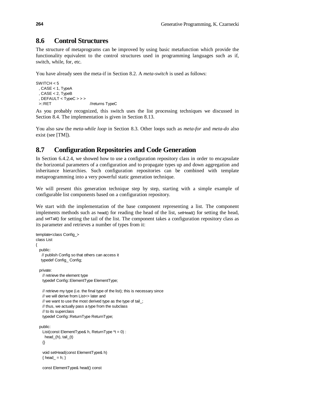## **8.6 Control Structures**

The structure of metaprograms can be improved by using basic metafunction which provide the functionality equivalent to the control structures used in programming languages such as if, switch, while, for, etc.

You have already seen the meta-if in Section 8.2. A *meta-switch* is used as follows:

```
SWITCH < 5
 , CASE < 1, TypeA
 , CASE < 2, TypeB
 , DEFAULT < TypeC > > >
 >::RET //returns TypeC
```
As you probably recognized, this switch uses the list processing techniques we discussed in Section 8.4. The implementation is given in Section 8.13.

You also saw the *meta-while loop* in Section 8.3. Other loops such as *meta-for* and *meta-do* also exist (see [TM]).

## **8.7 Configuration Repositories and Code Generation**

In Section 6.4.2.4, we showed how to use a configuration repository class in order to encapsulate the horizontal parameters of a configuration and to propagate types up and down aggregation and inheritance hierarchies. Such configuration repositories can be combined with template metaprogramming into a very powerful static generation technique.

We will present this generation technique step by step, starting with a simple example of configurable list components based on a configuration repository.

We start with the implementation of the base component representing a list. The component implements methods such as head() for reading the head of the list, setHead() for setting the head, and setTail() for setting the tail of the list. The component takes a configuration repository class as its parameter and retrieves a number of types from it:

```
template<class Config_>
class List
{
   public:
   // publish Config so that others can access it
    typedef Config_ Config;
   private:
     // retrieve the element type
     typedef Config::ElementType ElementType;
    // retrieve my type (i.e. the final type of the list); this is necessary since
    // we will derive from List<> later and
    // we want to use the most derived type as the type of tail_;
    // thus, we actually pass a type from the subclass
    // to its superclass
     typedef Config::ReturnType ReturnType;
   public:
     List(const ElementType& h, ReturnType *t = 0) :
      head_(h), tail_(t)
     {}
     void setHead(const ElementType& h)
    { \text{head}_ = h; }
     const ElementType& head() const
```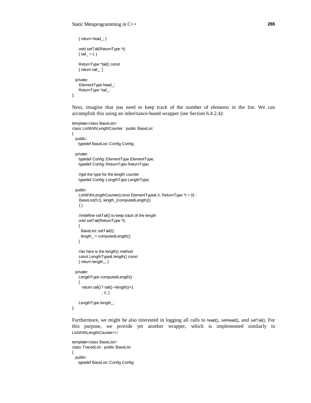```
 { return head_; }
   void setTail(ReturnType *t)
  {tail = t; }
   ReturnType *tail() const
   { return tail_; }
 private:
   ElementType head_;
   ReturnType *tail_;
```

```
};
```
Next, imagine that you need to keep track of the number of elements in the list. We can accomplish this using an inheritance-based wrapper (see Section 6.4.2.4):

```
template<class BaseList>
class ListWithLengthCounter : public BaseList
{
  public:
    typedef BaseList::Config Config;
   private:
    typedef Config::ElementType ElementType;
    typedef Config::ReturnType ReturnType;
    //get the type for the length counter
     typedef Config::LengthType LengthType;
   public:
     ListWithLengthCounter(const ElementType& h, ReturnType *t = 0) :
    BaseList(h,t), length_(computedLength())
    { }
    //redefine setTail() to keep track of the length
    void setTail(ReturnType *t)
     {
     BaseList::setTail(t);
     length_ = computedLength();
    }
    //an here is the length() method
     const LengthType& length() const
     { return length_; }
   private:
    LengthType computedLength()
    {
      return tail()? tail()->length()+1
                  : 1; }
     LengthType length_;
```

```
};
```
Furthermore, we might be also interested in logging all calls to head(), setHead(), and setTail(). For this purpose, we provide yet another wrapper, which is implemented similarly to ListWithLengthCounter<>:

```
template<class BaseList>
class TracedList : public BaseList
{
  public:
    typedef BaseList::Config Config;
```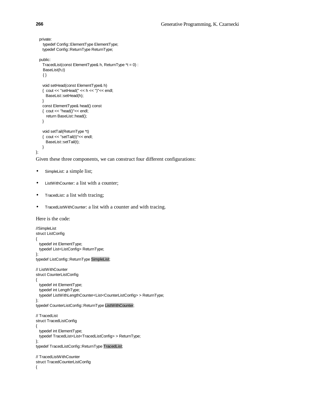```
 private:
     typedef Config::ElementType ElementType;
     typedef Config::ReturnType ReturnType;
   public:
    TracedList(const ElementType& h, ReturnType *t = 0) :
    BaseList(h,t)
    { }
     void setHead(const ElementType& h)
    { \text{cout} \ll \text{``setHead("} \ll \text{h} \ll \text{''})\ll \text{end};
       BaseList::setHead(h);
     }
     const ElementType& head() const
     { cout << "head()"<< endl;
       return BaseList::head();
     }
     void setTail(ReturnType *t)
    \{ cout << "setTail(t)" << endl;
       BaseList::setTail(t);
 }
};
```
Given these three components, we can construct four different configurations:

- SimpleList: a simple list;
- ListWithCounter: a list with a counter;
- TracedList: a list with tracing;
- TracedListWithCounter: a list with a counter and with tracing.

```
Here is the code:
```

```
//SimpleList
struct ListConfig
{
  typedef int ElementType;
  typedef List<ListConfig> ReturnType;
};
typedef ListConfig::ReturnType SimpleList;
// ListWithCounter
struct CounterListConfig
{
  typedef int ElementType;
  typedef int LengthType;
  typedef ListWithLengthCounter<List<CounterListConfig> > ReturnType;
};
typedef CounterListConfig::ReturnType ListWithCounter;
// TracedList
struct TracedListConfig
{
   typedef int ElementType;
  typedef TracedList<List<TracedListConfig> > ReturnType;
};
typedef TracedListConfig::ReturnType TracedList;
// TracedListWithCounter
struct TracedCounterListConfig
{
```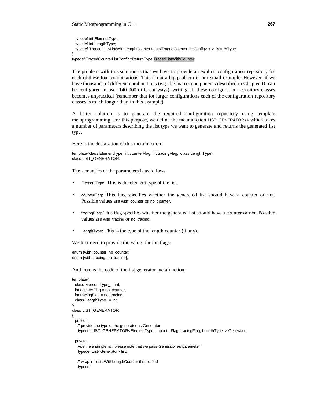```
 typedef int ElementType;
  typedef int LengthType;
  typedef TracedList<ListWithLengthCounter<List<TracedCounterListConfig> > > ReturnType;
};
typedef TracedCounterListConfig::ReturnType TracedListWithCounter;
```
The problem with this solution is that we have to provide an explicit configuration repository for each of these four combinations. This is not a big problem in our small example. However, if we have thousands of different combinations (e.g. the matrix components described in Chapter 10 can be configured in over 140 000 different ways), writing all these configuration repository classes becomes unpractical (remember that for larger configurations each of the configuration repository classes is much longer than in this example).

A better solution is to generate the required configuration repository using template metaprogramming. For this purpose, we define the metafunction LIST\_GENERATOR<> which takes a number of parameters describing the list type we want to generate and returns the generated list type.

Here is the declaration of this metafunction:

template<class ElementType, int counterFlag, int tracingFlag, class LengthType> class LIST\_GENERATOR;

The semantics of the parameters is as follows:

- ElementType: This is the element type of the list.
- counterFlag: This flag specifies whether the generated list should have a counter or not. Possible values are with\_counter or no\_counter.
- tracing Flag: This flag specifies whether the generated list should have a counter or not. Possible values are with\_tracing or no\_tracing.
- LengthType: This is the type of the length counter (if any).

We first need to provide the values for the flags:

enum {with\_counter, no\_counter}; enum {with\_tracing, no\_tracing};

And here is the code of the list generator metafunction:

```
template<
 class ElementType_ = int,
 int counterFlag = no_counter,
 int tracingFlag = no_tracing,
 class LengthType_ = int
>
class LIST_GENERATOR
{
 public:
    // provide the type of the generator as Generator
   typedef LIST_GENERATOR<ElementType_, counterFlag, tracingFlag, LengthType_> Generator;
 private:
   //define a simple list; please note that we pass Generator as parameter
   typedef List<Generator> list;
    // wrap into ListWithLengthCounter if specified
   typedef
```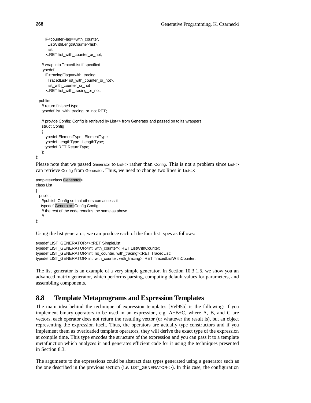```
IF<counterFlag==with_counter,
      ListWithLengthCounter<list>,
      list
     >::RET list_with_counter_or_not;
   // wrap into TracedList if specified
   typedef
     IF<tracingFlag==with_tracing,
      TracedList<list_with_counter_or_not>,
      list_with_counter_or_not
     >::RET list_with_tracing_or_not;
 public:
   // return finished type
   typedef list_with_tracing_or_not RET;
   // provide Config; Config is retrieved by List<> from Generator and passed on to its wrappers
   struct Config
   {
     typedef ElementType_ ElementType;
     typedef LengthType_ LengthType;
     typedef RET ReturnType;
   };
};
```
Please note that we passed Generator to List<> rather than Config. This is not a problem since List<> can retrieve Config from Generator. Thus, we need to change two lines in List<>:

```
template<class Generator>
class List
{
   public:
   //publish Config so that others can access it
    typedef Generator::Config Config;
   // the rest of the code remains the same as above
   ///...
};
```
Using the list generator, we can produce each of the four list types as follows:

```
typedef LIST_GENERATOR<>::RET SimpleList;
typedef LIST_GENERATOR<int, with_counter>::RET ListWithCounter;
typedef LIST_GENERATOR<int, no_counter, with_tracing>::RET TracedList;
typedef LIST_GENERATOR<int, with_counter, with_tracing>::RET TracedListWithCounter;
```
The list generator is an example of a very simple generator. In Section 10.3.1.5, we show you an advanced matrix generator, which performs parsing, computing default values for parameters, and assembling components.

## **8.8 Template Metaprograms and Expression Templates**

The main idea behind the technique of expression templates [Vel95b] is the following: if you implement binary operators to be used in an expression, e.g.  $A+B+C$ , where A, B, and C are vectors, each operator does not return the resulting vector (or whatever the result is), but an object representing the expression itself. Thus, the operators are actually type constructors and if you implement them as overloaded template operators, they will derive the exact type of the expression at compile time. This type encodes the structure of the expression and you can pass it to a template metafunction which analyzes it and generates efficient code for it using the techniques presented in Section 8.3.

The arguments to the expressions could be abstract data types generated using a generator such as the one described in the previous section (i.e. LIST\_GENERATOR<>). In this case, the configuration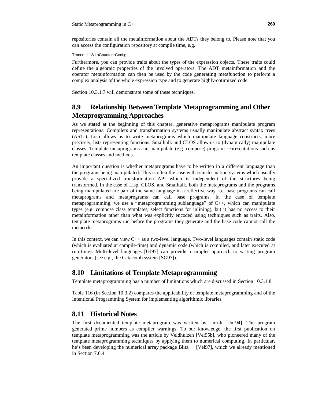repositories contain all the metainformation about the ADTs they belong to. Please note that you can access the configuration repository at compile time, e.g.:

#### TracedListWithCounter::Config

Furthermore, you can provide traits about the types of the expression objects. These traits could define the algebraic properties of the involved operators. The ADT metainformation and the operator metainformation can then be used by the code generating metafunction to perform a complex analysis of the whole expression type and to generate highly-optimized code.

Section 10.3.1.7 will demonstrate some of these techniques.

## **8.9 Relationship Between Template Metaprogramming and Other Metaprogramming Approaches**

As we stated at the beginning of this chapter, generative metaprograms manipulate program representations. Compilers and transformation systems usually manipulate abstract syntax trees (ASTs). Lisp allows us to write metaprograms which manipulate language constructs, more precisely, lists representing functions. Smalltalk and CLOS allow us to (dynamically) manipulate classes. Template metaprograms can manipulate (e.g. compose) program representations such as template classes and methods.

An important question is whether metaprograms have to be written in a different language than the programs being manipulated. This is often the case with transformation systems which usually provide a specialized transformation API which is independent of the structures being transformed. In the case of Lisp, CLOS, and Smalltalk, both the metaprograms and the programs being manipulated are part of the same language in a reflective way, i.e. base programs can call metaprograms and metaprograms can call base programs. In the case of template metaprogramming, we use a "metaprogramming sublanguage" of C++, which can manipulate types (e.g. compose class templates, select functions for inlining), but it has no access to their metainformation other than what was explicitly encoded using techniques such as traits. Also, template metaprograms run before the programs they generate and the base code cannot call the metacode.

In this context, we can view  $C_{++}$  as a two-level language. Two-level languages contain static code (which is evaluated at compile-time) and dynamic code (which is compiled, and later executed at run-time). Multi-level languages [GJ97] can provide a simpler approach to writing program generators (see e.g., the Catacomb system [SG97]).

## **8.10 Limitations of Template Metaprogramming**

Template metaprogramming has a number of limitations which are discussed in Section 10.3.1.8.

Table 116 (in Section 10.3.2) compares the applicability of template metaprogramming and of the Intentional Programming System for implementing algorithmic libraries.

## **8.11 Historical Notes**

The first documented template metaprogram was written by Unruh [Unr94]. The program generated prime numbers as compiler warnings. To our knowledge, the first publication on template metaprogramming was the article by Veldhuizen [Vel95b], who pioneered many of the template metaprogramming techniques by applying them to numerical computing. In particular, he's been developing the numerical array package Blitz++ [Vel97], which we already mentioned in Section 7.6.4.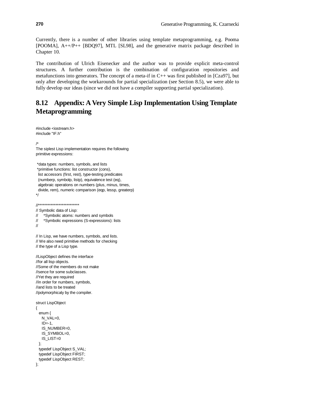Currently, there is a number of other libraries using template metaprogramming, e.g. Pooma [POOMA], A++/P++ [BDQ97], MTL [SL98], and the generative matrix package described in Chapter 10.

The contribution of Ulrich Eisenecker and the author was to provide explicit meta-control structures. A further contribution is the combination of configuration repositories and metafunctions into generators. The concept of a meta-if in C++ was first published in [Cza97], but only after developing the workarounds for partial specialization (see Section 8.5), we were able to fully develop our ideas (since we did not have a compiler supporting partial specialization).

## **8.12 Appendix: A Very Simple Lisp Implementation Using Template Metaprogramming**

#include <iostream.h> #include "IF.h"

/\*

The siplest Lisp implementation requires the following primitive expressions:

\*data types: numbers, symbols, and lists \*primitive functions: list constructor (cons), list accessors (first, rest), type-testing predicates (numberp, symbolp, listp), equivalence test (eq), algebraic operations on numbers (plus, minus, times, divide, rem), numeric comparison (eqp, lessp, greaterp) \*/

//\*\*\*\*\*\*\*\*\*\*\*\*\*\*\*\*\*\*\*\*\*\*\*\*\*\*

// Symbolic data of Lisp:

// \*Symbolic atoms: numbers and symbols

- // \*Symbolic expressions (S-expressions): lists
- //

// In Lisp, we have numbers, symbols, and lists. // We also need primitive methods for checking // the type of a Lisp type.

//LispObject defines the interface //for all lisp objects. //Some of the members do not make //sence for some subclasses. //Yet they are required //in order for numbers, symbols, //and lists to be treated //polymorphicaly by the compiler.

```
struct LispObject
{
 enum {
   N_VAL=0,
   ID = -1,
   IS_NUMBER=0,
   IS_SYMBOL=0,
   IS_LIST=0
 };
 typedef LispObject S_VAL;
 typedef LispObject FIRST;
 typedef LispObject REST;
};
```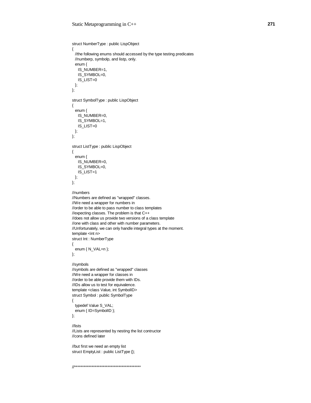```
struct NumberType : public LispObject
{
 //the following enums should accessed by the type testing predicates
 //numberp, symbolp, and listp, only.
 enum {
   IS_NUMBER=1,
   IS_SYMBOL=0,
   IS_LIST=0
 };
};
struct SymbolType : public LispObject
{
 enum {
   IS_NUMBER=0,
   IS_SYMBOL=1,
   IS_LIST=0
 };
};
struct ListType : public LispObject
{
 enum {
   IS_NUMBER=0,
   IS_SYMBOL=0,
   IS_LIST=1
 };
};
//numbers
//Numbers are defined as "wrapped" classes.
//We need a wrapper for numbers in
//order to be able to pass number to class templates
//expecting classes. The problem is that C++
//does not allow us provide two versions of a class template
//one with class and other with number parameters.
//Unfortunately, we can only handle integral types at the moment.
template <int n>
struct Int : NumberType
{
 enum { N_VAL=n };
};
//symbols
//symbols are defined as "wrapped" classes
//We need a wrapper for classes in
//order to be able provide them with IDs.
//IDs allow us to test for equivalence.
template <class Value, int SymbolID>
struct Symbol : public SymbolType
{
 typedef Value S_VAL;
 enum { ID=SymbolID };
};
//lists
//Lists are represented by nesting the list contructor
//cons defined later
//but first we need an empty list
struct EmptyList : public ListType {};
```
//\*\*\*\*\*\*\*\*\*\*\*\*\*\*\*\*\*\*\*\*\*\*\*\*\*\*\*\*\*\*\*\*\*\*\*\*\*\*\*\*\*\*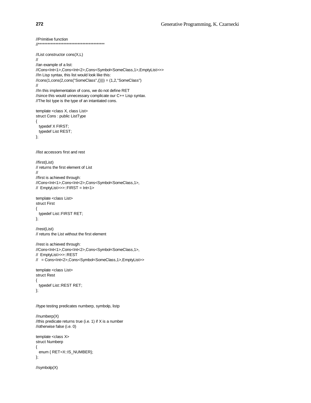```
//Primitive function
//******************************************
//List constructor cons(X,L)
//
//an example of a list:
//Cons<Int<1>,Cons<Int<2>,Cons<Symbol<SomeClass,1>,EmptyList>>>
//In Lisp syntax, this list would look like this:
//cons(1,cons(2,cons("SomeClass",)))) = (1,2, "SomeClass")//
//In this implementation of cons, we do not define RET
//since this would unnecessary complicate our C++ Lisp syntax.
//The list type is the type of an intantiated cons.
template <class X, class List>
struct Cons : public ListType
{
 typedef X FIRST;
 typedef List REST;
};
//list accessors first and rest
//first(List)
// returns the first element of List
//
//first is achieved through:
//Cons<Int<1>,Cons<Int<2>,Cons<Symbol<SomeClass,1>,
// EmptyList>>>::FIRST = Int<1>
template <class List>
struct First
{
 typedef List::FIRST RET;
};
//rest(List)
// retuns the List without the first element
//rest is achieved through:
//Cons<Int<1>,Cons<Int<2>,Cons<Symbol<SomeClass,1>,
// EmptyList>>>::REST
// = Cons<Int<2>,Cons<Symbol<SomeClass,1>,EmptyList>>
template <class List>
struct Rest
{
 typedef List::REST RET;
};
//type testing predicates numberp, symbolp, listp
//numberp(X)
//this predicate returns true (i.e. 1) if X is a number
//otherwise false (i.e. 0)
template <class X>
struct Numberp
{
 enum { RET=X::IS_NUMBER};
};
//symbolp(X)
```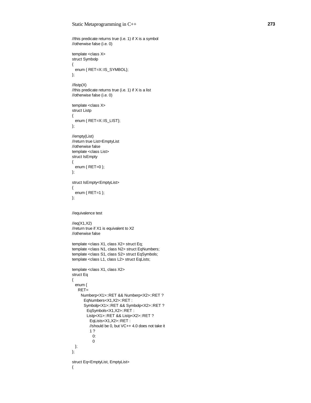#### Static Metaprogramming in C++ **273**

```
//this predicate returns true (i.e. 1) if X is a symbol
//otherwise false (i.e. 0)
template <class X>
struct Symbolp
{
  enum { RET=X::IS_SYMBOL};
}
;
//listp(X)
//this predicate returns true (i.e. 1) if X is a list
//otherwise false (i.e. 0)
template <class X>
struct Listp
{
  enum { RET=X::IS_LIST};
}
;
//empty(List)
//return true List=EmptyList
//otherwise false
template <class List>
struct IsEmpty
{
  enum { RET=0 };
}
};<br>s<sup>:</sup>
 truct IsEmpty<EmptyList>
{
  enum { RET=1 };
}
;
//equivalence test
//eq(X1,X2)
//return true if X1 is equivalent to X2
//otherwise false
template <class X1, class X2> struct Eq;
template <class N1, class N2> struct EqNumbers;
template <class S1, class S2> struct EqSymbols;
template <class L1, class L2> struct EqLists;
template <class X1, class X2>
struct Eq
{
  enum 
{
    R
E
T
=
      Numberp<X1>::RET && Numberp<X2>::RET ?
       EqNumbers<X1,X2>::RET:
       Symbolp<X1>::RET && Symbolp<X2>::RET ?
         EqSymbols<X1,X2>::RET:
         Listp<X1>::RET && Listp<X2>::RET ?
           EqLists<X1,X2>::RET:
           //should be 0, but VC++ 4.0 does not take it
          1 ?
            0:0
  }
;
}
};<br>s<sup>:</sup>
 truct Eq<EmptyList, EmptyList>
{
```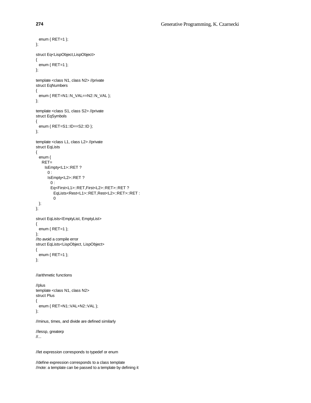```
enum { RET=1 };
};
struct Eq<LispObject,LispObject>
{
 enum { RET=1 };
};
template <class N1, class N2> //private
struct EqNumbers
{
 enum { RET=N1::N_VAL==N2::N_VAL };
};
template <class S1, class S2> //private
struct EqSymbols
{
 enum { RET=S1::ID==S2::ID };
};
template <class L1, class L2> //private
struct EqLists
{
 enum {
   RET=
    IsEmpty<L1>::RET ?
      0:IsEmpty<L2>::RET ?
       0:Eq<First<L1>::RET,First<L2>::RET>::RET ?
         EqLists<Rest<L1>::RET,Rest<L2>::RET>::RET :
         0
 };
};
struct EqLists<EmptyList, EmptyList>
{
 enum { RET=1 };
};
//to avoid a compile error
struct EqLists<LispObject, LispObject>
{
 enum { RET=1 };
};
//arithmetic functions
//plus
template <class N1, class N2>
struct Plus
{
 enum { RET=N1::VAL+N2::VAL };
};
//minus, times, and divide are defined similarly
//lessp, greaterp
//...
```
//let expression corresponds to typedef or enum

//define expression corresponds to a class template //note: a template can be passed to a template by defining it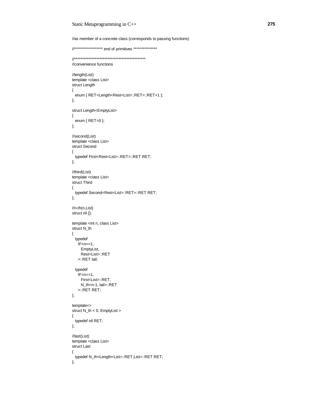### Static Metaprogramming in C++ **275**

//as member of a concrete class (corresponds to passing functions)

//\*\*\*\*\*\*\*\*\*\*\*\*\*\*\*\*\*\* end of primitives \*\*\*\*\*\*\*\*\*\*\*\*\*\*\* //\*\*\*\*\*\*\*\*\*\*\*\*\*\*\*\*\*\*\*\*\*\*\*\*\*\*\*\*\*\*\*\*\*\*\*\*\*\*\*\*\*\*\*\*\* //convenience functions //length(List) template <class List> struct Length { enum { RET=Length<Rest<List>::RET>::RET+1 }; }; struct Length<EmptyList> { enum { RET=0 }; }; //second(List) template <class List> struct Second { typedef First<Rest<List>::RET>::RET RET; }; //third(List) template <class List> struct Third { typedef Second<Rest<List>::RET>::RET RET; }; //n-th(n,List) struct nil {}; template <int n, class List> struct N\_th { typedef  $IF < n == 1$ , EmptyList, Rest<List>::RET >::RET tail; typedef  $IF < n == 1$ , First<List>::RET, N\_th<n-1, tail>::RET >::RET RET; }; template<> struct N\_th < 0, EmptyList > { typedef nil RET; }; //last(List) template <class List> struct Last { typedef N\_th<Length<List>::RET,List>::RET RET; };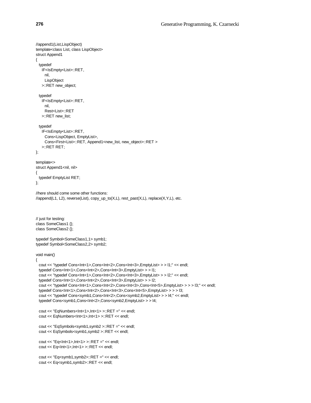```
//append1(List,LispObject)
template<class List, class LispObject>
struct Append1
{
 typedef
   IF<IsEmpty<List>::RET,
    nil,
    LispObject
   >::RET new_object;
 typedef
   IF<IsEmpty<List>::RET,
    nil,
    Rest<List>::RET
   >::RET new_list;
 typedef
   IF<IsEmpty<List>::RET,
    Cons<LispObject, EmptyList>,
    Cons<First<List>::RET, Append1<new_list, new_object>::RET >
   >::RET RET;
};
template<>
struct Append1<nil, nil>
{
 typedef EmptyList RET;
};
//here should come some other functions:
//append(L1, L2), reverse(List), copy_up_to(X,L), rest_past(X,L), replace(X,Y,L), etc.
// just for testing:
class SomeClass1 {};
class SomeClass2 {};
typedef Symbol<SomeClass1,1> symb1;
typedef Symbol<SomeClass2,2> symb2;
void main()
{
 cout << "typedef Cons<Int<1>,Cons<Int<2>,Cons<Int<3>,EmptyList> > > l1;" << endl;
 typedef Cons<Int<1>,Cons<Int<2>,Cons<Int<3>,EmptyList> > > l1;
 cout << "typedef Cons<Int<1>,Cons<Int<2>,Cons<Int<3>,EmptyList> > > l2;" << endl;
 typedef Cons<Int<1>,Cons<Int<2>,Cons<Int<3>,EmptyList> > > l2;
 cout << "typedef Cons<Int<1>,Cons<Int<2>,Cons<Int<3>,Cons<Int<5>,EmptyList> > > > l3;" << endl;
 typedef Cons<Int<1>,Cons<Int<2>,Cons<Int<3>,Cons<Int<5>,EmptyList> > > > l3;
 cout << "typedef Cons<symb1,Cons<Int<2>,Cons<symb2,EmptyList> > > l4;" << endl;
 typedef Cons<symb1,Cons<Int<2>,Cons<symb2,EmptyList> > > l4;
 cout << "EqNumbers<Int<1>,Int<1> >::RET =" << endl;
 cout << EqNumbers<Int<1>,Int<1> >::RET << endl;
 cout << "EqSymbols<symb1,symb2 >::RET =" << endl;
 cout << EqSymbols<symb1,symb2 >::RET << endl;
 cout << "Eq<Int<1>,Int<1> >::RET =" << endl;
 cout << Eq<Int<1>,Int<1> >::RET << endl;
 cout << "Eq<symb1,symb2>::RET =" << endl;
 cout << Eq<symb1,symb2>::RET << endl;
```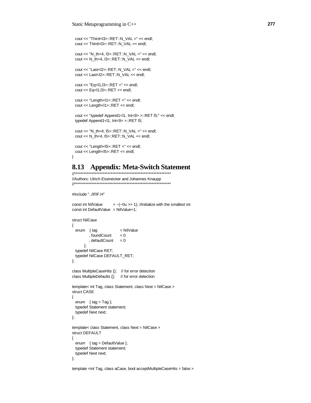cout << "Third<l3>::RET::N\_VAL =" << endl; cout << Third<l3>::RET::N\_VAL << endl;

cout << "N\_th<4, l3>::RET::N\_VAL =" << endl; cout << N\_th<4, l3>::RET::N\_VAL << endl;

cout << "Last<l2>::RET::N\_VAL =" << endl; cout << Last<l2>::RET::N\_VAL << endl;

```
cout << "Eq<l1,l3>::RET =" << endl;
cout << Eq<l1,l3>::RET << endl;
```

```
cout << "Length<l1>::RET =" << endl;
cout << Length<l1>::RET << endl;
```

```
cout << "typedef Append1<l1, Int<9> >::RET l5;" << endl;
typedef Append1<l1, Int<9> >::RET l5;
```

```
cout << "N_th<4, l5>::RET::N_VAL =" << endl;
cout << N_th<4, l5>::RET::N_VAL << endl;
```

```
cout << "Length<l5>::RET =" << endl;
 cout << Length<l5>::RET << endl;
}
```
## **8.13 Appendix: Meta-Switch Statement**

```
//*************************************************************
//Authors: Ulrich Eisenecker and Johannes Knaupp
//*************************************************************
```

```
#include "../if/IF.H"
```

```
const int NilValue = \sim (-0u >> 1); //initialize with the smallest int
const int DefaultValue = NilValue+1;
struct NilCase
{
 enum \{ tag = NilValue, foundCount = 0, defaultCount = 0 };
  typedef NilCase RET;
  typedef NilCase DEFAULT_RET;
};
class MultipleCaseHits {}; // for error detection
class MultipleDefaults {}; // for error detection
template< int Tag, class Statement, class Next = NilCase >
struct CASE
{
  enum \{ tag = Tag \}; typedef Statement statement;
  typedef Next next;
};
template< class Statement, class Next = NilCase >
struct DEFAULT
{
  enum { tag = DefaultValue };
  typedef Statement statement;
  typedef Next next;
};
```
template <int Tag, class aCase, bool acceptMultipleCaseHits = false >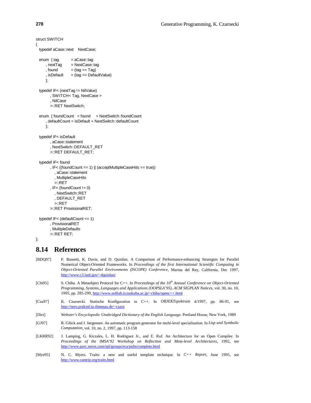```
struct SWITCH
{
  typedef aCase::next NextCase;
  enum \{ tag = aCase::tag\}, nextTag = NextCase::tag
     , found = (tag == Tag)
     , isDefault = (tag == DefaultValue)
      };
  typedef IF< (nextTag != NilValue)
        , SWITCH< Tag, NextCase >
        , NilCase
        >::RET NextSwitch;
  enum { foundCount = found + NextSwitch::foundCount
      , defaultCount = isDefault + NextSwitch::defaultCount
      };
   typedef IF< isDefault
        , aCase::statement
         , NextSwitch::DEFAULT_RET
        >::RET DEFAULT_RET;
   typedef IF< found
        , IF< ((foundCount == 1) || (acceptMultipleCaseHits == true))
           , aCase::statement
           , MultipleCaseHits
           >::RET
         , IF< (foundCount != 0)
           , NextSwitch::RET
           , DEFAULT_RET
           >::RET
        >::RET ProvisionalRET;
  typedef IF< (defaultCount <= 1)
        , ProvisionalRET
         , MultipleDefaults
        >::RET RET;
```

```
};
```
## **8.14 References**

- [BDQ97] F. Bassetti, K. Davis, and D. Quinlan. A Comparison of Performance-enhancing Strategies for Parallel Numerical Object-Oriented Frameworks. In *Proceedings of the first International Scientific Computing in Object-Oriented Parallel Environments (ISCOPE) Conference*, Marina del Rey, California, Dec 1997, http://www.c3.lanl.gov/~dquinlan/
- [Chi95] S. Chiba. A Metaobject Protocol for C++. In *Proceedings of the 10th Annual Conference on Object-Oriented Programming, Systems, Languages and Applications (OOPSLA'95), ACM SIGPLAN Notices*, vol. 30, no. 10, 1995, pp. 285-299, http://www.softlab.is.tsukuba.ac.jp/~chiba/openc++.html
- [Cza97] K. Czarnecki. Statische Konfiguration in C++. In *OBJEKTspektrum* 4/1997, pp. 86-91, see http://nero.prakinf.tu-ilmenau.de/~czarn
- [Dict] *Webster's Encyclopedic Unabridged Dictionary of the English Language*. Portland House, New York, 1989
- [GJ97] R. Glück and J. Jørgensen. An automatic program generator for multi-level specialization. In *Lisp and Symbolic Computation*, vol. 10, no. 2, 1997, pp. 113-158
- [LKRR92] J. Lamping, G. Kiczales, L. H. Rodriguez Jr., and E. Ruf. An Architecture for an Open Compiler. In *Proceedings of the IMSA'92 Workshop on Reflection and Meta-level Architectures*, 1992, see http://www.parc.xerox.com/spl/groups/eca/pubs/complete.html
- [Mye95] N. C. Myers. Traits: a new and useful template technique. In *C++ Report*, June 1995, see http://www.cantrip.org/traits.html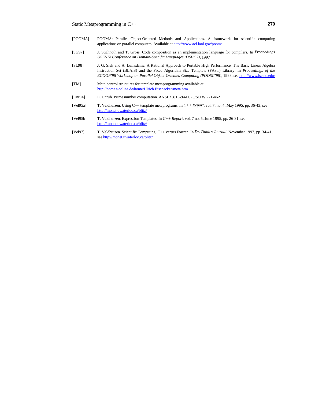- [POOMA] POOMA: Parallel Object-Oriented Methods and Applications. A framework for scientific computing applications on parallel computers. Available at http://www.acl.lanl.gov/pooma
- [SG97] J. Stichnoth and T. Gross. Code composition as an implementation language for compilers. In *Proceedings USENIX Conference on Domain-Specific Languages (DSL'97)*, 1997
- [SL98] J. G. Siek and A. Lumsdaine. A Rational Approach to Portable High Performance: The Basic Linear Algebra Instruction Set (BLAIS) and the Fixed Algorithm Size Template (FAST) Library. In *Proceedings of the ECOOP'98 Workshop on Parallel Object-Oriented Computing (POOSC'98)*, 1998, see http://www.lsc.nd.edu/
- [TM] Meta-control structures for template metaprogramming available at http://home.t-online.de/home/Ulrich.Eisenecker/meta.htm
- [Unr94] E. Unruh. Prime number computation. ANSI X3J16-94-0075/SO WG21-462
- [Vel95a] T. Veldhuizen. Using C++ template metaprograms. In *C++ Report*, vol. 7, no. 4, May 1995, pp. 36-43, see http://monet.uwaterloo.ca/blitz/
- [Vel95b] T. Veldhuizen. Expression Templates. In *C++ Report*, vol. 7 no. 5, June 1995, pp. 26-31, see http://monet.uwaterloo.ca/blitz/
- [Vel97] T. Veldhuizen. Scientific Computing: C++ versus Fortran. In *Dr. Dobb's Journal*, November 1997, pp. 34-41, see http://monet.uwaterloo.ca/blitz/